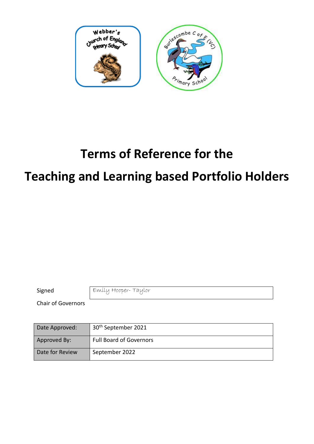

# **Terms of Reference for the**

# **Teaching and Learning based Portfolio Holders**

Signed Emily Hooper-Taylor

Chair of Governors

| Date Approved:  | 30 <sup>th</sup> September 2021 |
|-----------------|---------------------------------|
| Approved By:    | <b>Full Board of Governors</b>  |
| Date for Review | September 2022                  |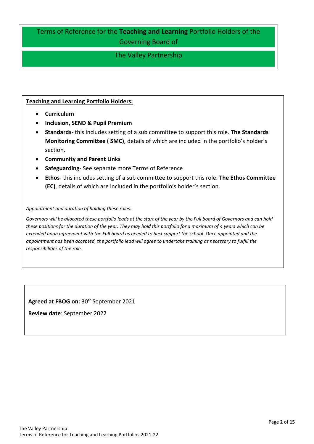# Terms of Reference for the **Teaching and Learning** Portfolio Holders of the Governing Board of

# The Valley Partnership

#### **Teaching and Learning Portfolio Holders:**

- **Curriculum**
- **Inclusion, SEND & Pupil Premium**
- **Standards** this includes setting of a sub committee to support this role. **The Standards Monitoring Committee ( SMC)**, details of which are included in the portfolio's holder's section.
- **Community and Parent Links**
- **Safeguarding** See separate more Terms of Reference
- **Ethos** this includes setting of a sub committee to support this role. **The Ethos Committee (EC)**, details of which are included in the portfolio's holder's section.

#### *Appointment and duration of holding these roles:*

*Governors will be allocated these portfolio leads at the start of the year by the Full board of Governors and can hold these positions for the duration of the year. They may hold this portfolio for a maximum of 4 years which can be extended upon agreement with the Full board as needed to best support the school. Once appointed and the appointment has been accepted, the portfolio lead will agree to undertake training as necessary to fulfill the responsibilities of the role.* 

**Agreed at FBOG on:** 30th September 2021

**Review date**: September 2022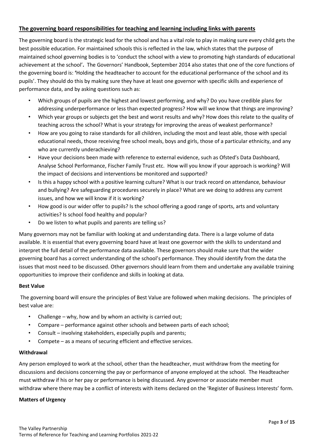#### **The governing board responsibilities for teaching and learning including links with parents**

The governing board is the strategic lead for the school and has a vital role to play in making sure every child gets the best possible education. For maintained schools this is reflected in the law, which states that the purpose of maintained school governing bodies is to 'conduct the school with a view to promoting high standards of educational achievement at the school'**.** The Governors' Handbook, September 2014 also states that one of the core functions of the governing board is: **'**Holding the headteacher to account for the educational performance of the school and its pupils'. They should do this by making sure they have at least one governor with specific skills and experience of performance data, and by asking questions such as:

- Which groups of pupils are the highest and lowest performing, and why? Do you have credible plans for addressing underperformance or less than expected progress? How will we know that things are improving?
- Which year groups or subjects get the best and worst results and why? How does this relate to the quality of teaching across the school? What is your strategy for improving the areas of weakest performance?
- How are you going to raise standards for all children, including the most and least able, those with special educational needs, those receiving free school meals, boys and girls, those of a particular ethnicity, and any who are currently underachieving?
- Have your decisions been made with reference to external evidence, such as Ofsted's Data Dashboard, Analyse School Performance, Fischer Family Trust etc. How will you know if your approach is working? Will the impact of decisions and interventions be monitored and supported?
- Is this a happy school with a positive learning culture? What is our track record on attendance, behaviour and bullying? Are safeguarding procedures securely in place? What are we doing to address any current issues, and how we will know if it is working?
- How good is our wider offer to pupils? Is the school offering a good range of sports, arts and voluntary activities? Is school food healthy and popular?
- Do we listen to what pupils and parents are telling us?

Many governors may not be familiar with looking at and understanding data. There is a large volume of data available. It is essential that every governing board have at least one governor with the skills to understand and interpret the full detail of the performance data available. These governors should make sure that the wider governing board has a correct understanding of the school's performance. They should identify from the data the issues that most need to be discussed. Other governors should learn from them and undertake any available training opportunities to improve their confidence and skills in looking at data.

#### **Best Value**

The governing board will ensure the principles of Best Value are followed when making decisions. The principles of best value are:

- Challenge why, how and by whom an activity is carried out;
- Compare performance against other schools and between parts of each school;
- Consult involving stakeholders, especially pupils and parents;
- Compete as a means of securing efficient and effective services.

#### **Withdrawal**

Any person employed to work at the school, other than the headteacher, must withdraw from the meeting for discussions and decisions concerning the pay or performance of anyone employed at the school. The Headteacher must withdraw if his or her pay or performance is being discussed. Any governor or associate member must withdraw where there may be a conflict of interests with items declared on the 'Register of Business Interests' form.

#### **Matters of Urgency**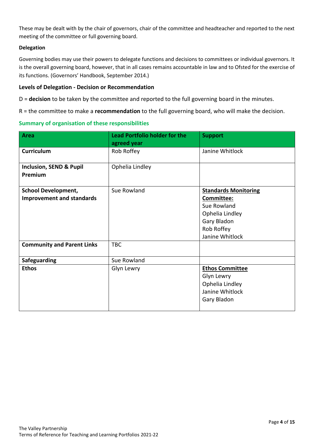These may be dealt with by the chair of governors, chair of the committee and headteacher and reported to the next meeting of the committee or full governing board.

#### **Delegation**

Governing bodies may use their powers to delegate functions and decisions to committees or individual governors. It is the overall governing board, however, that in all cases remains accountable in law and to Ofsted for the exercise of its functions. (Governors' Handbook, September 2014.)

#### **Levels of Delegation - Decision or Recommendation**

D = **decision** to be taken by the committee and reported to the full governing board in the minutes.

R = the committee to make a **recommendation** to the full governing board, who will make the decision.

#### **Summary of organisation of these responsibilities**

| <b>Area</b>                                                                                         | <b>Lead Portfolio holder for the</b><br>agreed year | <b>Support</b>                                                                                                              |
|-----------------------------------------------------------------------------------------------------|-----------------------------------------------------|-----------------------------------------------------------------------------------------------------------------------------|
| <b>Curriculum</b>                                                                                   | Rob Roffey                                          | Janine Whitlock                                                                                                             |
| <b>Inclusion, SEND &amp; Pupil</b><br>Premium                                                       | Ophelia Lindley                                     |                                                                                                                             |
| <b>School Development,</b><br><b>Improvement and standards</b><br><b>Community and Parent Links</b> | Sue Rowland<br><b>TBC</b>                           | <b>Standards Monitoring</b><br>Committee:<br>Sue Rowland<br>Ophelia Lindley<br>Gary Bladon<br>Rob Roffey<br>Janine Whitlock |
| Safeguarding                                                                                        | Sue Rowland                                         |                                                                                                                             |
| <b>Ethos</b>                                                                                        | Glyn Lewry                                          | <b>Ethos Committee</b><br>Glyn Lewry<br>Ophelia Lindley<br>Janine Whitlock<br>Gary Bladon                                   |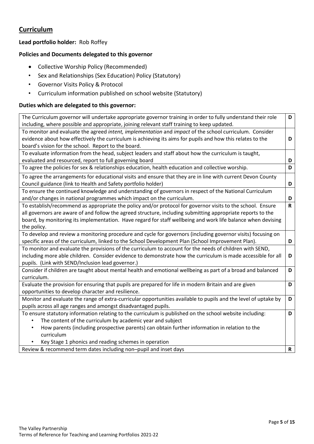# **Curriculum**

## **Lead portfolio holder:** Rob Roffey

## **Policies and Documents delegated to this governor**

- Collective Worship Policy (Recommended)
- Sex and Relationships (Sex Education) Policy (Statutory)
- Governor Visits Policy & Protocol
- Curriculum information published on school website (Statutory)

#### **Duties which are delegated to this governor:**

| The Curriculum governor will undertake appropriate governor training in order to fully understand their role    | D           |
|-----------------------------------------------------------------------------------------------------------------|-------------|
| including, where possible and appropriate, joining relevant staff training to keep updated.                     |             |
| To monitor and evaluate the agreed intent, implementation and impact of the school curriculum. Consider         |             |
| evidence about how effectively the curriculum is achieving its aims for pupils and how this relates to the      | D           |
| board's vision for the school. Report to the board.                                                             |             |
| To evaluate information from the head, subject leaders and staff about how the curriculum is taught,            |             |
| evaluated and resourced, report to full governing board                                                         | D           |
| To agree the policies for sex & relationships education, health education and collective worship.               | D           |
| To agree the arrangements for educational visits and ensure that they are in line with current Devon County     |             |
| Council guidance (link to Health and Safety portfolio holder)                                                   | D           |
| To ensure the continued knowledge and understanding of governors in respect of the National Curriculum          |             |
| and/or changes in national programmes which impact on the curriculum.                                           | D           |
| To establish/recommend as appropriate the policy and/or protocol for governor visits to the school. Ensure      | $\mathbf R$ |
| all governors are aware of and follow the agreed structure, including submitting appropriate reports to the     |             |
| board, by monitoring its implementation. Have regard for staff wellbeing and work life balance when devising    |             |
| the policy.                                                                                                     |             |
| To develop and review a monitoring procedure and cycle for governors (including governor visits) focusing on    |             |
| specific areas of the curriculum, linked to the School Development Plan (School Improvement Plan).              | D           |
| To monitor and evaluate the provisions of the curriculum to account for the needs of children with SEND,        |             |
| including more able children. Consider evidence to demonstrate how the curriculum is made accessible for all    | D           |
| pupils. (Link with SEND/Inclusion lead governor.)                                                               |             |
| Consider if children are taught about mental health and emotional wellbeing as part of a broad and balanced     | D           |
| curriculum.                                                                                                     |             |
| Evaluate the provision for ensuring that pupils are prepared for life in modern Britain and are given           | D           |
| opportunities to develop character and resilience.                                                              |             |
| Monitor and evaluate the range of extra-curricular opportunities available to pupils and the level of uptake by | D           |
| pupils across all age ranges and amongst disadvantaged pupils.                                                  |             |
| To ensure statutory information relating to the curriculum is published on the school website including:        | D           |
| The content of the curriculum by academic year and subject                                                      |             |
| How parents (including prospective parents) can obtain further information in relation to the<br>$\bullet$      |             |
| curriculum                                                                                                      |             |
| Key Stage 1 phonics and reading schemes in operation                                                            |             |
| Boyjow 8, recommend term dates including non-nunit and inset days                                               | D           |

Review & recommend term dates including non–pupil and inset days **R**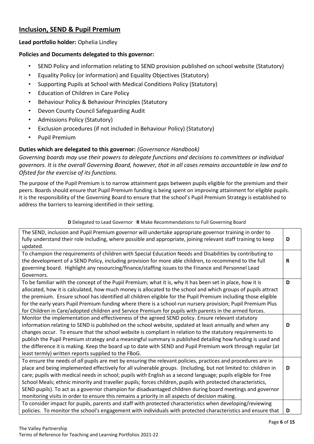## **Inclusion, SEND & Pupil Premium**

#### **Lead portfolio holder:** Ophelia Lindley

#### **Policies and Documents delegated to this governor:**

- SEND Policy and information relating to SEND provision published on school website (Statutory)
- Equality Policy (or information) and Equality Objectives (Statutory)
- Supporting Pupils at School with Medical Conditions Policy (Statutory)
- Education of Children in Care Policy
- Behaviour Policy & Behaviour Principles (Statutory
- Devon County Council Safeguarding Audit
- Admissions Policy (Statutory)
- Exclusion procedures (if not included in Behaviour Policy) (Statutory)
- Pupil Premium

## **Duties which are delegated to this governor:** *(Governance Handbook)*

*Governing boards may use their powers to delegate functions and decisions to committees or individual governors. It is the overall Governing Board, however, that in all cases remains accountable in law and to Ofsted for the exercise of its functions.* 

The purpose of the Pupil Premium is to narrow attainment gaps between pupils eligible for the premium and their peers. Boards should ensure that Pupil Premium funding is being spent on improving attainment for eligible pupils. It is the responsibility of the Governing Board to ensure that the school's Pupil Premium Strategy is established to address the barriers to learning identified in their setting.

#### **D** Delegated to Lead Governor **R** Make Recommendations to Full Governing Board

| The SEND, inclusion and Pupil Premium governor will undertake appropriate governor training in order to<br>fully understand their role including, where possible and appropriate, joining relevant staff training to keep<br>updated.                                                                                                                                                                                                                                                                                                                                                                                                                                          | D |
|--------------------------------------------------------------------------------------------------------------------------------------------------------------------------------------------------------------------------------------------------------------------------------------------------------------------------------------------------------------------------------------------------------------------------------------------------------------------------------------------------------------------------------------------------------------------------------------------------------------------------------------------------------------------------------|---|
| To champion the requirements of children with Special Education Needs and Disabilities by contributing to<br>the development of a SEND Policy, including provision for more able children, to recommend to the full                                                                                                                                                                                                                                                                                                                                                                                                                                                            | R |
| governing board. Highlight any resourcing/finance/staffing issues to the Finance and Personnel Lead<br>Governors.                                                                                                                                                                                                                                                                                                                                                                                                                                                                                                                                                              |   |
| To be familiar with the concept of the Pupil Premium; what it is, why it has been set in place, how it is<br>allocated, how it is calculated, how much money is allocated to the school and which groups of pupils attract<br>the premium. Ensure school has identified all children eligible for the Pupil Premium including those eligible<br>for the early years Pupil Premium funding where there is a school-run nursery provision; Pupil Premium Plus<br>for Children in Care/adopted children and Service Premium for pupils with parents in the armed forces.                                                                                                          | D |
| Monitor the implementation and effectiveness of the agreed SEND policy. Ensure relevant statutory<br>information relating to SEND is published on the school website, updated at least annually and when any<br>changes occur. To ensure that the school website is compliant in relation to the statutory requirements to<br>publish the Pupil Premium strategy and a meaningful summary is published detailing how funding is used and<br>the difference it is making. Keep the board up to date with SEND and Pupil Premium work through regular (at<br>least termly) written reports supplied to the FBoG.                                                                 | D |
| To ensure the needs of all pupils are met by ensuring the relevant policies, practices and procedures are in<br>place and being implemented effectively for all vulnerable groups. (Including, but not limited to: children in<br>care; pupils with medical needs in school; pupils with English as a second language; pupils eligible for Free<br>School Meals; ethnic minority and traveller pupils; forces children, pupils with protected characteristics,<br>SEND pupils). To act as a governor champion for disadvantaged children during board meetings and governor<br>monitoring visits in order to ensure this remains a priority in all aspects of decision making. | D |
| To consider impact for pupils, parents and staff with protected characteristics when developing/reviewing<br>policies. To monitor the school's engagement with individuals with protected characteristics and ensure that                                                                                                                                                                                                                                                                                                                                                                                                                                                      | D |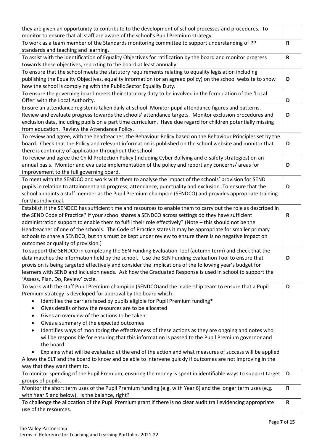| they are given an opportunity to contribute to the development of school processes and procedures. To           |              |  |
|-----------------------------------------------------------------------------------------------------------------|--------------|--|
| monitor to ensure that all staff are aware of the school's Pupil Premium strategy.                              |              |  |
| To work as a team member of the Standards monitoring committee to support understanding of PP                   | R            |  |
| standards and teaching and learning.                                                                            |              |  |
| To assist with the identification of Equality Objectives for ratification by the board and monitor progress     | $\mathbf R$  |  |
| towards these objectives, reporting to the board at least annually                                              |              |  |
| To ensure that the school meets the statutory requirements relating to equality legislation including           |              |  |
| publishing the Equality Objectives, equality information (or an agreed policy) on the school website to show    | D            |  |
| how the school is complying with the Public Sector Equality Duty.                                               |              |  |
| To ensure the governing board meets their statutory duty to be involved in the formulation of the 'Local        |              |  |
| Offer' with the Local Authority.                                                                                | D            |  |
| Ensure an attendance register is taken daily at school. Monitor pupil attendance figures and patterns.          |              |  |
| Review and evaluate progress towards the schools' attendance targets. Monitor exclusion procedures and          | D            |  |
| exclusion data, including pupils on a part time curriculum. Have due regard for children potentially missing    |              |  |
| from education. Review the Attendance Policy.                                                                   |              |  |
| To review and agree, with the headteacher, the Behaviour Policy based on the Behaviour Principles set by the    |              |  |
| board. Check that the Policy and relevant information is published on the school website and monitor that       | D            |  |
| there is continuity of application throughout the school.                                                       |              |  |
| To review and agree the Child Protection Policy (including Cyber Bullying and e-safety strategies) on an        |              |  |
| annual basis. Monitor and evaluate implementation of the policy and report any concerns/ areas for              | D            |  |
| improvement to the full governing board.                                                                        |              |  |
| To meet with the SENDCO and work with them to analyse the impact of the schools' provision for SEND             |              |  |
| pupils in relation to attainment and progress; attendance, punctuality and exclusion. To ensure that the        | D            |  |
| school appoints a staff member as the Pupil Premium champion (SENDCO) and provides appropriate training         |              |  |
| for this individual.                                                                                            |              |  |
| Establish if the SENDCO has sufficient time and resources to enable them to carry out the role as described in  |              |  |
| the SEND Code of Practice? If your school shares a SENDCO across settings do they have sufficient               | R            |  |
| administration support to enable them to fulfil their role effectively? (Note - this should not be the          |              |  |
| Headteacher of one of the schools. The Code of Practice states it may be appropriate for smaller primary        |              |  |
| schools to share a SENDCO, but this must be kept under review to ensure there is no negative impact on          |              |  |
| outcomes or quality of provision.)                                                                              |              |  |
| To support the SENDCO in completing the SEN Funding Evaluation Tool (autumn term) and check that the            |              |  |
| data matches the information held by the school. Use the SEN Funding Evaluation Tool to ensure that             | D            |  |
| provision is being targeted effectively and consider the implications of the following year's budget for        |              |  |
| learners with SEND and inclusion needs. Ask how the Graduated Response is used in school to support the         |              |  |
| 'Assess, Plan, Do, Review' cycle.                                                                               |              |  |
| To work with the staff Pupil Premium champion (SENDCO)and the leadership team to ensure that a Pupil            | D            |  |
| Premium strategy is developed for approval by the board which:                                                  |              |  |
| Identifies the barriers faced by pupils eligible for Pupil Premium funding*                                     |              |  |
| Gives details of how the resources are to be allocated<br>٠                                                     |              |  |
| Gives an overview of the actions to be taken<br>٠                                                               |              |  |
| Gives a summary of the expected outcomes                                                                        |              |  |
| ٠<br>Identifies ways of monitoring the effectiveness of these actions as they are ongoing and notes who         |              |  |
| $\bullet$                                                                                                       |              |  |
| will be responsible for ensuring that this information is passed to the Pupil Premium governor and<br>the board |              |  |
|                                                                                                                 |              |  |
| Explains what will be evaluated at the end of the action and what measures of success will be applied           |              |  |
| Allows the SLT and the board to know and be able to intervene quickly if outcomes are not improving in the      |              |  |
| way that they want them to.                                                                                     |              |  |
| To monitor spending of the Pupil Premium, ensuring the money is spent in identifiable ways to support target    | D            |  |
| groups of pupils.                                                                                               |              |  |
| Monitor the short term uses of the Pupil Premium funding (e.g. with Year 6) and the longer term uses (e.g.      | R            |  |
| with Year 5 and below). Is the balance, right?                                                                  |              |  |
| To challenge the allocation of the Pupil Premium grant if there is no clear audit trail evidencing appropriate  | $\mathsf{R}$ |  |
| use of the resources.                                                                                           |              |  |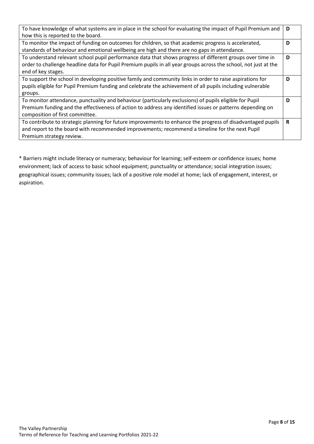| To have knowledge of what systems are in place in the school for evaluating the impact of Pupil Premium and     |   |
|-----------------------------------------------------------------------------------------------------------------|---|
| how this is reported to the board.                                                                              |   |
| To monitor the impact of funding on outcomes for children, so that academic progress is accelerated,            | D |
| standards of behaviour and emotional wellbeing are high and there are no gaps in attendance.                    |   |
| To understand relevant school pupil performance data that shows progress of different groups over time in       | D |
| order to challenge headline data for Pupil Premium pupils in all year groups across the school, not just at the |   |
| end of key stages.                                                                                              |   |
| To support the school in developing positive family and community links in order to raise aspirations for       | D |
| pupils eligible for Pupil Premium funding and celebrate the achievement of all pupils including vulnerable      |   |
| groups.                                                                                                         |   |
| To monitor attendance, punctuality and behaviour (particularly exclusions) of pupils eligible for Pupil         | D |
| Premium funding and the effectiveness of action to address any identified issues or patterns depending on       |   |
| composition of first committee.                                                                                 |   |
| To contribute to strategic planning for future improvements to enhance the progress of disadvantaged pupils     | R |
| and report to the board with recommended improvements; recommend a timeline for the next Pupil                  |   |
| Premium strategy review.                                                                                        |   |

\* Barriers might include literacy or numeracy; behaviour for learning; self-esteem or confidence issues; home environment; lack of access to basic school equipment; punctuality or attendance; social integration issues; geographical issues; community issues; lack of a positive role model at home; lack of engagement, interest, or aspiration.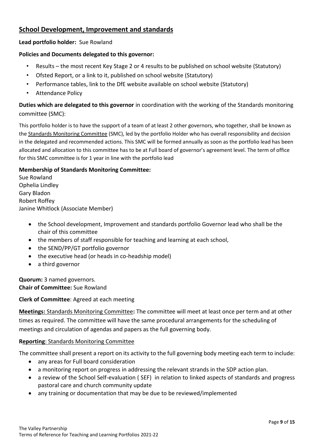# **School Development, Improvement and standards**

## **Lead portfolio holder:** Sue Rowland

## **Policies and Documents delegated to this governor:**

- Results the most recent Key Stage 2 or 4 results to be published on school website (Statutory)
- Ofsted Report, or a link to it, published on school website (Statutory)
- Performance tables, link to the DfE website available on school website (Statutory)
- Attendance Policy

**Duties which are delegated to this governor** in coordination with the working of the Standards monitoring committee (SMC):

This portfolio holder is to have the support of a team of at least 2 other governors, who together, shall be known as the Standards Monitoring Committee (SMC), led by the portfolio Holder who has overall responsibility and decision in the delegated and recommended actions. This SMC will be formed annually as soon as the portfolio lead has been allocated and allocation to this committee has to be at Full board of governor's agreement level. The term of office for this SMC committee is for 1 year in line with the portfolio lead

## **Membership of Standards Monitoring Committee:**

Sue Rowland Ophelia Lindley Gary Bladon Robert Roffey Janine Whitlock (Associate Member)

- the School development, Improvement and standards portfolio Governor lead who shall be the chair of this committee
- the members of staff responsible for teaching and learning at each school,
- the SEND/PP/GT portfolio governor
- the executive head (or heads in co-headship model)
- a third governor

**Quorum:** 3 named governors. **Chair of Committee:** Sue Rowland

## **Clerk of Committee**: Agreed at each meeting

**Meetings:** Standards Monitoring Committee**:** The committee will meet at least once per term and at other times as required. The committee will have the same procedural arrangements for the scheduling of meetings and circulation of agendas and papers as the full governing body.

## **Reporting**: Standards Monitoring Committee

The committee shall present a report on its activity to the full governing body meeting each term to include:

- any areas for Full board consideration
- a monitoring report on progress in addressing the relevant strands in the SDP action plan.
- a review of the School Self-evaluation ( SEF) in relation to linked aspects of standards and progress pastoral care and church community update
- any training or documentation that may be due to be reviewed/implemented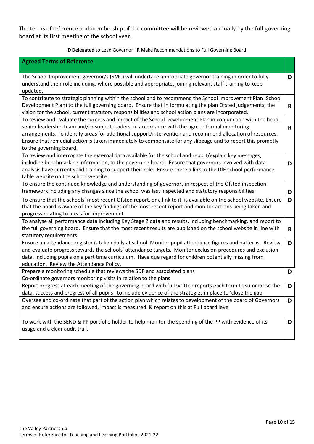The terms of reference and membership of the committee will be reviewed annually by the full governing board at its first meeting of the school year.

#### **D Delegated** to Lead Governor **R** Make Recommendations to Full Governing Board

| <b>Agreed Terms of Reference</b>                                                                                                                                                                                   |              |
|--------------------------------------------------------------------------------------------------------------------------------------------------------------------------------------------------------------------|--------------|
|                                                                                                                                                                                                                    |              |
| The School Improvement governor/s (SMC) will undertake appropriate governor training in order to fully<br>understand their role including, where possible and appropriate, joining relevant staff training to keep | D            |
| updated.                                                                                                                                                                                                           |              |
| To contribute to strategic planning within the school and to recommend the School Improvement Plan (School                                                                                                         |              |
| Development Plan) to the full governing board. Ensure that in formulating the plan Ofsted judgements, the<br>vision for the school, current statutory responsibilities and school action plans are incorporated.   | $\mathsf{R}$ |
| To review and evaluate the success and impact of the School Development Plan in conjunction with the head,                                                                                                         |              |
| senior leadership team and/or subject leaders, in accordance with the agreed formal monitoring                                                                                                                     | R            |
| arrangements. To identify areas for additional support/intervention and recommend allocation of resources.                                                                                                         |              |
| Ensure that remedial action is taken immediately to compensate for any slippage and to report this promptly<br>to the governing board.                                                                             |              |
| To review and interrogate the external data available for the school and report/explain key messages,                                                                                                              |              |
| including benchmarking information, to the governing board. Ensure that governors involved with data                                                                                                               | D            |
| analysis have current valid training to support their role. Ensure there a link to the DfE school performance<br>table website on the school website.                                                              |              |
| To ensure the continued knowledge and understanding of governors in respect of the Ofsted inspection                                                                                                               |              |
| framework including any changes since the school was last inspected and statutory responsibilities.                                                                                                                | D            |
| To ensure that the schools' most recent Ofsted report, or a link to it, is available on the school website. Ensure                                                                                                 | D            |
| that the board is aware of the key findings of the most recent report and monitor actions being taken and                                                                                                          |              |
| progress relating to areas for improvement.                                                                                                                                                                        |              |
| To analyse all performance data including Key Stage 2 data and results, including benchmarking, and report to                                                                                                      |              |
| the full governing board. Ensure that the most recent results are published on the school website in line with<br>statutory requirements.                                                                          | $\mathbf R$  |
| Ensure an attendance register is taken daily at school. Monitor pupil attendance figures and patterns. Review                                                                                                      | D            |
| and evaluate progress towards the schools' attendance targets. Monitor exclusion procedures and exclusion                                                                                                          |              |
| data, including pupils on a part time curriculum. Have due regard for children potentially missing from                                                                                                            |              |
| education. Review the Attendance Policy.                                                                                                                                                                           |              |
| Prepare a monitoring schedule that reviews the SDP and associated plans<br>Co-ordinate governors monitoring visits in relation to the plans                                                                        | D            |
| Report progress at each meeting of the governing board with full written reports each term to summarise the                                                                                                        | D            |
| data, success and progress of all pupils, to include evidence of the strategies in place to 'close the gap'                                                                                                        |              |
| Oversee and co-ordinate that part of the action plan which relates to development of the board of Governors                                                                                                        | D            |
| and ensure actions are followed, impact is measured & report on this at Full board level                                                                                                                           |              |
| To work with the SEND & PP portfolio holder to help monitor the spending of the PP with evidence of its                                                                                                            | D            |
| usage and a clear audit trail.                                                                                                                                                                                     |              |
|                                                                                                                                                                                                                    |              |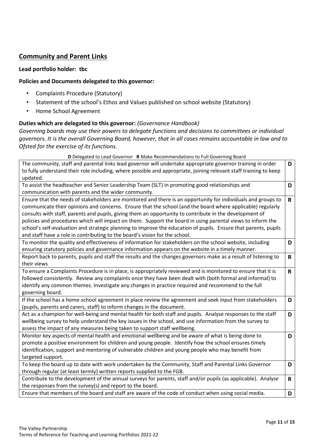## **Community and Parent Links**

#### **Lead portfolio holder: tbc**

#### **Policies and Documents delegated to this governor:**

- Complaints Procedure (Statutory)
- Statement of the school's Ethos and Values published on school website (Statutory)
- Home School Agreement

#### **Duties which are delegated to this governor:** *(Governance Handbook)*

*Governing boards may use their powers to delegate functions and decisions to committees or individual governors. It is the overall Governing Board, however, that in all cases remains accountable in law and to Ofsted for the exercise of its functions.* 

**D** Delegated to Lead Governor **R** Make Recommendations to Full Governing Board

| The community, staff and parental links lead governor will undertake appropriate governor training in order<br>to fully understand their role including, where possible and appropriate, joining relevant staff training to keep                                                                                                                                                                                                                                                                                                                                                                                                                       | D            |
|--------------------------------------------------------------------------------------------------------------------------------------------------------------------------------------------------------------------------------------------------------------------------------------------------------------------------------------------------------------------------------------------------------------------------------------------------------------------------------------------------------------------------------------------------------------------------------------------------------------------------------------------------------|--------------|
| updated.                                                                                                                                                                                                                                                                                                                                                                                                                                                                                                                                                                                                                                               |              |
| To assist the headteacher and Senior Leadership Team (SLT) in promoting good relationships and                                                                                                                                                                                                                                                                                                                                                                                                                                                                                                                                                         | D            |
| communication with parents and the wider community.                                                                                                                                                                                                                                                                                                                                                                                                                                                                                                                                                                                                    |              |
| Ensure that the needs of stakeholders are monitored and there is an opportunity for individuals and groups to<br>communicate their opinions and concerns. Ensure that the school (and the board where applicable) regularly<br>consults with staff, parents and pupils, giving them an opportunity to contribute in the development of<br>policies and procedures which will impact on them. Support the board in using parental views to inform the<br>school's self-evaluation and strategic planning to improve the education of pupils. Ensure that parents, pupils<br>and staff have a role in contributing to the board's vision for the school. | $\mathsf{R}$ |
| To monitor the quality and effectiveness of information for stakeholders on the school website, including                                                                                                                                                                                                                                                                                                                                                                                                                                                                                                                                              | D            |
| ensuring statutory policies and governance information appears on the website in a timely manner.                                                                                                                                                                                                                                                                                                                                                                                                                                                                                                                                                      |              |
| Report back to parents, pupils and staff the results and the changes governors make as a result of listening to                                                                                                                                                                                                                                                                                                                                                                                                                                                                                                                                        | $\mathsf{R}$ |
| their views                                                                                                                                                                                                                                                                                                                                                                                                                                                                                                                                                                                                                                            |              |
| To ensure a Complaints Procedure is in place, is appropriately reviewed and is monitored to ensure that it is                                                                                                                                                                                                                                                                                                                                                                                                                                                                                                                                          | $\mathsf{R}$ |
| followed consistently. Review any complaints once they have been dealt with (both formal and informal) to                                                                                                                                                                                                                                                                                                                                                                                                                                                                                                                                              |              |
| identify any common themes. Investigate any changes in practice required and recommend to the full                                                                                                                                                                                                                                                                                                                                                                                                                                                                                                                                                     |              |
| governing board.                                                                                                                                                                                                                                                                                                                                                                                                                                                                                                                                                                                                                                       |              |
| If the school has a home-school agreement in place review the agreement and seek input from stakeholders                                                                                                                                                                                                                                                                                                                                                                                                                                                                                                                                               | D            |
| (pupils, parents and carers, staff) to inform changes in the document.                                                                                                                                                                                                                                                                                                                                                                                                                                                                                                                                                                                 |              |
| Act as a champion for well-being and mental health for both staff and pupils. Analyse responses to the staff<br>wellbeing survey to help understand the key issues in the school, and use information from the survey to<br>assess the impact of any measures being taken to support staff wellbeing.                                                                                                                                                                                                                                                                                                                                                  | D            |
| Monitor key aspects of mental health and emotional wellbeing and be aware of what is being done to                                                                                                                                                                                                                                                                                                                                                                                                                                                                                                                                                     | D            |
| promote a positive environment for children and young people. Identify how the school ensures timely                                                                                                                                                                                                                                                                                                                                                                                                                                                                                                                                                   |              |
| identification, support and mentoring of vulnerable children and young people who may benefit from                                                                                                                                                                                                                                                                                                                                                                                                                                                                                                                                                     |              |
| targeted support.                                                                                                                                                                                                                                                                                                                                                                                                                                                                                                                                                                                                                                      |              |
| To keep the board up to date with work undertaken by the Community, Staff and Parental Links Governor                                                                                                                                                                                                                                                                                                                                                                                                                                                                                                                                                  | D            |
| through regular (at least termly) written reports supplied to the FGB.                                                                                                                                                                                                                                                                                                                                                                                                                                                                                                                                                                                 |              |
| Contribute to the development of the annual surveys for parents, staff and/or pupils (as applicable). Analyse                                                                                                                                                                                                                                                                                                                                                                                                                                                                                                                                          | $\mathsf{R}$ |
| the responses from the survey(s) and report to the board.                                                                                                                                                                                                                                                                                                                                                                                                                                                                                                                                                                                              |              |
| Ensure that members of the board and staff are aware of the code of conduct when using social media.                                                                                                                                                                                                                                                                                                                                                                                                                                                                                                                                                   | D            |
|                                                                                                                                                                                                                                                                                                                                                                                                                                                                                                                                                                                                                                                        |              |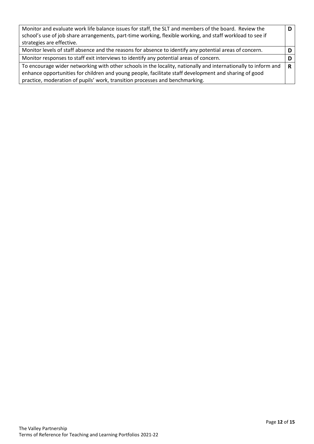| Monitor and evaluate work life balance issues for staff, the SLT and members of the board. Review the          |  |
|----------------------------------------------------------------------------------------------------------------|--|
| school's use of job share arrangements, part-time working, flexible working, and staff workload to see if      |  |
| strategies are effective.                                                                                      |  |
| Monitor levels of staff absence and the reasons for absence to identify any potential areas of concern.        |  |
| Monitor responses to staff exit interviews to identify any potential areas of concern.                         |  |
| To encourage wider networking with other schools in the locality, nationally and internationally to inform and |  |
| enhance opportunities for children and young people, facilitate staff development and sharing of good          |  |
| practice, moderation of pupils' work, transition processes and benchmarking.                                   |  |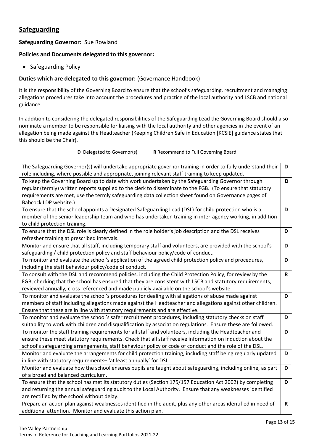# **Safeguarding**

#### **Safeguarding Governor:** Sue Rowland

#### **Policies and Documents delegated to this governor:**

• Safeguarding Policy

#### **Duties which are delegated to this governor:** (Governance Handbook)

It is the responsibility of the Governing Board to ensure that the school's safeguarding, recruitment and managing allegations procedures take into account the procedures and practice of the local authority and LSCB and national guidance.

In addition to considering the delegated responsibilities of the Safeguarding Lead the Governing Board should also nominate a member to be responsible for liaising with the local authority and other agencies in the event of an allegation being made against the Headteacher (Keeping Children Safe in Education [KCSiE] guidance states that this should be the Chair).

**D** Delegated to Governor(s) **R** Recommend to Full Governing Board

| The Safeguarding Governor(s) will undertake appropriate governor training in order to fully understand their  | D            |
|---------------------------------------------------------------------------------------------------------------|--------------|
| role including, where possible and appropriate, joining relevant staff training to keep updated.              |              |
| To keep the Governing Board up to date with work undertaken by the Safeguarding Governor through              | D            |
| regular (termly) written reports supplied to the clerk to disseminate to the FGB. (To ensure that statutory   |              |
| requirements are met, use the termly safeguarding data collection sheet found on Governance pages of          |              |
| Babcock LDP website.)                                                                                         |              |
| To ensure that the school appoints a Designated Safeguarding Lead (DSL) for child protection who is a         | D            |
| member of the senior leadership team and who has undertaken training in inter-agency working, in addition     |              |
| to child protection training.                                                                                 |              |
| To ensure that the DSL role is clearly defined in the role holder's job description and the DSL receives      | D            |
| refresher training at prescribed intervals.                                                                   |              |
| Monitor and ensure that all staff, including temporary staff and volunteers, are provided with the school's   | D            |
| safeguarding / child protection policy and staff behaviour policy/code of conduct.                            |              |
| To monitor and evaluate the school's application of the agreed child protection policy and procedures,        | D            |
| including the staff behaviour policy/code of conduct.                                                         |              |
| To consult with the DSL and recommend policies, including the Child Protection Policy, for review by the      | $\mathsf{R}$ |
| FGB, checking that the school has ensured that they are consistent with LSCB and statutory requirements,      |              |
| reviewed annually, cross referenced and made publicly available on the school's website.                      |              |
| To monitor and evaluate the school's procedures for dealing with allegations of abuse made against            | D            |
| members of staff including allegations made against the Headteacher and allegations against other children.   |              |
| Ensure that these are in line with statutory requirements and are effective.                                  |              |
| To monitor and evaluate the school's safer recruitment procedures, including statutory checks on staff        | D            |
| suitability to work with children and disqualification by association regulations. Ensure these are followed. |              |
| To monitor the staff training requirements for all staff and volunteers, including the Headteacher and        | D            |
| ensure these meet statutory requirements. Check that all staff receive information on induction about the     |              |
| school's safeguarding arrangements, staff behaviour policy or code of conduct and the role of the DSL.        |              |
| Monitor and evaluate the arrangements for child protection training, including staff being regularly updated  | D            |
| in line with statutory requirements-'at least annually' for DSL.                                              |              |
| Monitor and evaluate how the school ensures pupils are taught about safeguarding, including online, as part   | D            |
| of a broad and balanced curriculum.                                                                           |              |
| To ensure that the school has met its statutory duties (Section 175/157 Education Act 2002) by completing     | D            |
| and returning the annual safeguarding audit to the Local Authority. Ensure that any weaknesses identified     |              |
| are rectified by the school without delay.                                                                    |              |
| Prepare an action plan against weaknesses identified in the audit, plus any other areas identified in need of | $\mathsf{R}$ |
| additional attention. Monitor and evaluate this action plan.                                                  |              |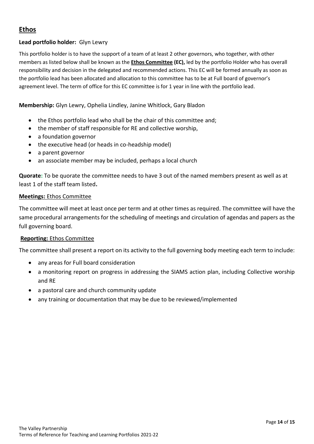# **Ethos**

## **Lead portfolio holder:** Glyn Lewry

This portfolio holder is to have the support of a team of at least 2 other governors, who together, with other members as listed below shall be known as the **Ethos Committee (EC),** led by the portfolio Holder who has overall responsibility and decision in the delegated and recommended actions. This EC will be formed annually as soon as the portfolio lead has been allocated and allocation to this committee has to be at Full board of governor's agreement level. The term of office for this EC committee is for 1 year in line with the portfolio lead.

## **Membership:** Glyn Lewry, Ophelia Lindley, Janine Whitlock, Gary Bladon

- the Ethos portfolio lead who shall be the chair of this committee and;
- the member of staff responsible for RE and collective worship,
- a foundation governor
- the executive head (or heads in co-headship model)
- a parent governor
- an associate member may be included, perhaps a local church

**Quorate:** To be quorate the committee needs to have 3 out of the named members present as well as at least 1 of the staff team listed**.** 

#### **Meetings:** Ethos Committee

The committee will meet at least once per term and at other times as required. The committee will have the same procedural arrangements for the scheduling of meetings and circulation of agendas and papers as the full governing board.

## **Reporting:** Ethos Committee

The committee shall present a report on its activity to the full governing body meeting each term to include:

- any areas for Full board consideration
- a monitoring report on progress in addressing the SIAMS action plan, including Collective worship and RE
- a pastoral care and church community update
- any training or documentation that may be due to be reviewed/implemented